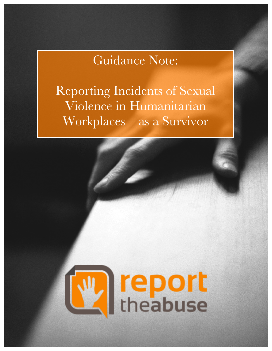# Guidance Note:

Reporting Incidents of Sexual Violence in Humanitarian Workplaces – as a Survivor

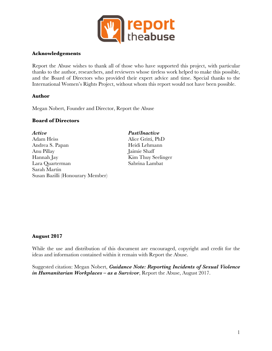

#### **Acknowledgements**

Report the Abuse wishes to thank all of those who have supported this project, with particular thanks to the author, researchers, and reviewers whose tireless work helped to make this possible, and the Board of Directors who provided their expert advice and time. Special thanks to the International Women's Rights Project, without whom this report would not have been possible.

#### **Author**

Megan Nobert, Founder and Director, Report the Abuse

#### **Board of Directors**

*Active Past/Inactive* Adam Heiss Alice Gritti, PhD Andrea S. Papan Heidi Lehmann Anu Pillay Jaimie Shaff Hannah Jay Kim Thuy Seelinger Lara Quarterman Sabrina Lambat Sarah Martin Susan Bazilli (Honourary Member)

## **August 2017**

While the use and distribution of this document are encouraged, copyright and credit for the ideas and information contained within it remain with Report the Abuse.

Suggested citation: Megan Nobert, *Guidance Note: Reporting Incidents of Sexual Violence in Humanitarian Workplaces – as a Survivor*, Report the Abuse, August 2017.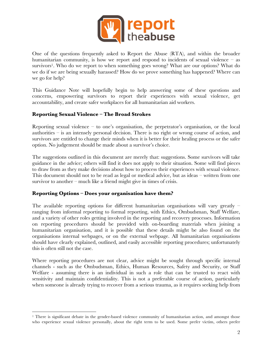

One of the questions frequently asked to Report the Abuse (RTA), and within the broader humanitarian community, is how we report and respond to incidents of sexual violence – as survivors<sup>1</sup>. Who do we report to when something goes wrong? What are our options? What do we do if we are being sexually harassed? How do we prove something has happened? Where can we go for help?

This Guidance Note will hopefully begin to help answering some of these questions and concerns, empowering survivors to report their experiences with sexual violence, get accountability, and create safer workplaces for all humanitarian aid workers.

## **Reporting Sexual Violence – The Broad Strokes**

Reporting sexual violence – to one's organisation, the perpetrator's organisation, or the local authorities – is an intensely personal decision. There is no right or wrong course of action, and survivors are entitled to change their minds when it is better for their healing process or the safer option. No judgement should be made about a survivor's choice.

The suggestions outlined in this document are merely that: suggestions. Some survivors will take guidance in the advice; others will find it does not apply to their situation. Some will find pieces to draw from as they make decisions about how to process their experiences with sexual violence. This document should not to be read as legal or medical advice, but as ideas – written from one survivor to another – much like a friend might give in times of crisis.

## **Reporting Options – Does your organisation have them?**

The available reporting options for different humanitarian organisations will vary greatly  $$ ranging from informal reporting to formal reporting, with Ethics, Ombudsman, Staff Welfare, and a variety of other roles getting involved in the reporting and recovery processes. Information on reporting procedures should be provided with on-boarding materials when joining a humanitarian organisation, and it is possible that these details might be also found on the organisations internal webpages, or on the external webpage. All humanitarian organisations should have clearly explained, outlined, and easily accessible reporting procedures; unfortunately this is often still not the case.

Where reporting procedures are not clear, advice might be sought through specific internal channels - such as the Ombudsman, Ethics, Human Resources, Safety and Security, or Staff Welfare - assuming there is an individual in such a role that can be trusted to react with sensitivity and maintain confidentiality. This is not a preferable course of action, particularly when someone is already trying to recover from a serious trauma, as it requires seeking help from

 <sup>1</sup> There is significant debate in the gender-based violence community of humanitarian action, and amongst those who experience sexual violence personally, about the right term to be used. Some prefer victim, others prefer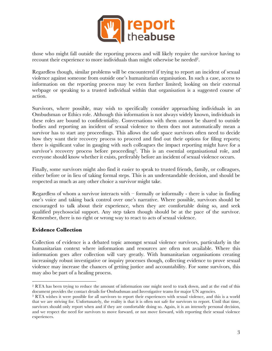

those who might fall outside the reporting process and will likely require the survivor having to recount their experience to more individuals than might otherwise be needed2.

Regardless though, similar problems will be encountered if trying to report an incident of sexual violence against someone from outside one's humanitarian organisation. In such a case, access to information on the reporting process may be even further limited; looking on their external webpage or speaking to a trusted individual within that organisation is a suggested course of action.

Survivors, where possible, may wish to specifically consider approaching individuals in an Ombudsman or Ethics role. Although this information is not always widely known, individuals in these roles are bound to confidentiality. Conversations with them cannot be shared to outside bodies and reporting an incident of sexual violence to them does not automatically mean a survivor has to start any proceedings. This allows the safe space survivors often need to decide how they want their recovery process to proceed and find out their options for filing reports; there is significant value in gauging with such colleagues the impact reporting might have for a survivor's recovery process before proceeding<sup>3</sup>. This is an essential organisational role, and everyone should know whether it exists, preferably before an incident of sexual violence occurs.

Finally, some survivors might also find it easier to speak to trusted friends, family, or colleagues, either before or in lieu of taking formal steps. This is an understandable decision, and should be respected as much as any other choice a survivor might take.

Regardless of whom a survivor interacts with  $-$  formally or informally  $-$  there is value in finding one's voice and taking back control over one's narrative. Where possible, survivors should be encouraged to talk about their experience, when they are comfortable doing so, and seek qualified psychosocial support. Any step taken though should be at the pace of the survivor. Remember, there is no right or wrong way to react to acts of sexual violence.

## **Evidence Collection**

Collection of evidence is a debated topic amongst sexual violence survivors, particularly in the humanitarian context where information and resources are often not available. Where this information goes after collection will vary greatly. With humanitarian organisations creating increasingly robust investigative or inquiry processes though, collecting evidence to prove sexual violence may increase the chances of getting justice and accountability. For some survivors, this may also be part of a healing process.

 <sup>2</sup> RTA has been trying to reduce the amount of information one might need to track down, and at the end of this document provides the contact details for Ombudsman and Investigative teams for major UN agencies.<br><sup>3</sup> RTA wishes it were possible for all survivors to report their experiences with sexual violence, and this is a world

that we are striving for. Unfortunately, the reality is that it is often not safe for survivors to report. Until that time, survivors should only report when and if they are comfortable doing so. Again, it is an intensely personal decision, and we respect the need for survivors to move forward, or not move forward, with reporting their sexual violence experiences.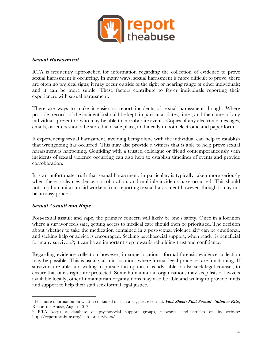

#### *Sexual Harassment*

RTA is frequently approached for information regarding the collection of evidence to prove sexual harassment is occurring. In many ways, sexual harassment is more difficult to prove: there are often no physical signs; it may occur outside of the sight or hearing range of other individuals; and it can be more subtle. These factors contribute to fewer individuals reporting their experiences with sexual harassment.

There are ways to make it easier to report incidents of sexual harassment though. Where possible, records of the incident(s) should be kept, in particular dates, times, and the names of any individuals present or who may be able to corroborate events. Copies of any electronic messages, emails, or letters should be stored in a safe place, and ideally in both electronic and paper form.

If experiencing sexual harassment, avoiding being alone with the individual can help to establish that wrongdoing has occurred. This may also provide a witness that is able to help prove sexual harassment is happening. Confiding with a trusted colleague or friend contemporaneously with incidents of sexual violence occurring can also help to establish timelines of events and provide corroboration.

It is an unfortunate truth that sexual harassment, in particular, is typically taken more seriously when there is clear evidence, corroboration, and multiple incidents have occurred. This should not stop humanitarian aid workers from reporting sexual harassment however, though it may not be an easy process.

## *Sexual Assault and Rape*

 

Post-sexual assault and rape, the primary concern will likely be one's safety. Once in a location where a survivor feels safe, getting access to medical care should then be prioritised. The decision about whether to take the medication contained in a post-sexual violence  $\mathrm{kit}^4$  can be emotional, and seeking help or advice is encouraged. Seeking psychosocial support, when ready, is beneficial for many survivors<sup>5</sup>; it can be an important step towards rebuilding trust and confidence.

Regarding evidence collection however, in some locations, formal forensic evidence collection may be possible. This is usually also in locations where formal legal processes are functioning. If survivors are able and willing to pursue this option, it is advisable to also seek legal counsel, to ensure that one's rights are protected. Some humanitarian organisations may keep lists of lawyers available locally; other humanitarian organisations may also be able and willing to provide funds and support to help their staff seek formal legal justice.

<sup>4</sup> For more information on what is contained in such a kit, please consult: *Fact Sheet: Post-Sexual Violence Kits*, Report the Abuse, August 2017.

<sup>5</sup> RTA keeps a database of psychosocial support groups, networks, and articles on its website: http://reporttheabuse.org/help-for-survivors/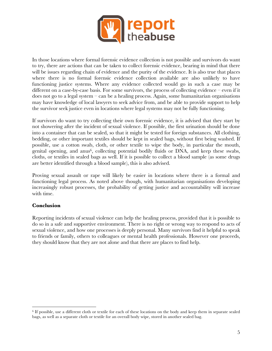

In those locations where formal forensic evidence collection is not possible and survivors do want to try, there are actions that can be taken to collect forensic evidence, bearing in mind that there will be issues regarding chain of evidence and the purity of the evidence. It is also true that places where there is no formal forensic evidence collection available are also unlikely to have functioning justice systems. Where any evidence collected would go in such a case may be different on a case-by-case basis. For some survivors, the process of collecting evidence – even if it does not go to a legal system – can be a healing process. Again, some humanitarian organisations may have knowledge of local lawyers to seek advice from, and be able to provide support to help the survivor seek justice even in locations where legal systems may not be fully functioning.

If survivors do want to try collecting their own forensic evidence, it is advised that they start by not showering after the incident of sexual violence. If possible, the first urination should be done into a container that can be sealed, so that it might be tested for foreign substances. All clothing, bedding, or other important textiles should be kept in sealed bags, without first being washed. If possible, use a cotton swab, cloth, or other textile to wipe the body, in particular the mouth, genital opening, and anus<sup>6</sup>, collecting potential bodily fluids or DNA, and keep these swabs, cloths, or textiles in sealed bags as well. If it is possible to collect a blood sample (as some drugs are better identified through a blood sample), this is also advised.

Proving sexual assault or rape will likely be easier in locations where there is a formal and functioning legal process. As noted above though, with humanitarian organisations developing increasingly robust processes, the probability of getting justice and accountability will increase with time.

## **Conclusion**

 

Reporting incidents of sexual violence can help the healing process, provided that it is possible to do so in a safe and supportive environment. There is no right or wrong way to respond to acts of sexual violence, and how one processes is deeply personal. Many survivors find it helpful to speak to friends or family, others to colleagues or mental health professionals. However one proceeds, they should know that they are not alone and that there are places to find help.

<sup>6</sup> If possible, use a different cloth or textile for each of these locations on the body and keep them in separate sealed bags, as well as a separate cloth or textile for an overall body wipe, stored in another sealed bag.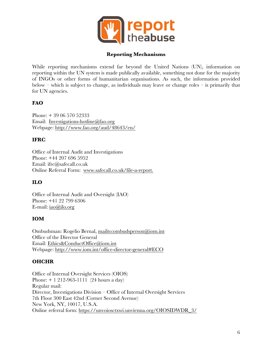

#### **Reporting Mechanisms**

While reporting mechanisms extend far beyond the United Nations (UN), information on reporting within the UN system is made publically available, something not done for the majority of INGOs or other forms of humanitarian organisations. As such, the information provided below – which is subject to change, as individuals may leave or change roles – is primarily that for UN agencies.

## **FAO**

Phone: + 39 06 570 52333 Email: Investigations-hotline@fao.org Webpage: http://www.fao.org/aud/48643/en/

#### **IFRC**

Office of Internal Audit and Investigations Phone: +44 207 696 5952 Email: ifrc@safecall.co.uk Online Referral Form: www.safecall.co.uk/file-a-report.

## **ILO**

Office of Internal Audit and Oversight (IAO) Phone: +41 22 799 6306 E-mail: iao@ilo.org

#### **IOM**

Ombudsman: Rogelio Bernal, mailto:ombudsperson@iom.int Office of the Director General Email: Ethics&ConductOffice@iom.int Webpage: http://www.iom.int/office-director-general#ECO

## **OHCHR**

Office of Internal Oversight Services (OIOS) Phone: + 1 212-963-1111 (24 hours a day) Regular mail: Director, Investigations Division – Office of Internal Oversight Services 7th Floor 300 East 42nd (Corner Second Avenue) New York, NY, 10017, U.S.A. Online referral form: https://unvoiosctxwi.unvienna.org/OIOSIDWDR\_3/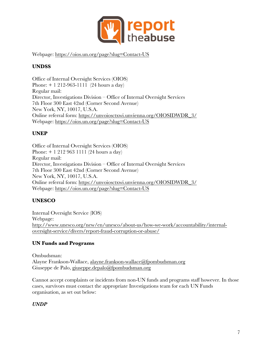

Webpage: https://oios.un.org/page?slug=Contact-US

# **UNDSS**

Office of Internal Oversight Services (OIOS) Phone: + 1 212-963-1111 (24 hours a day) Regular mail: Director, Investigations Division – Office of Internal Oversight Services 7th Floor 300 East 42nd (Corner Second Avenue) New York, NY, 10017, U.S.A. Online referral form: https://unvoiosctxwi.unvienna.org/OIOSIDWDR\_3/ Webpage: https://oios.un.org/page?slug=Contact-US

# **UNEP**

Office of Internal Oversight Services (OIOS) Phone: + 1 212 963 1111 (24 hours a day) Regular mail: Director, Investigations Division – Office of Internal Oversight Services 7th Floor 300 East 42nd (Corner Second Avenue) New York, NY, 10017, U.S.A. Online referral form: https://unvoiosctxwi.unvienna.org/OIOSIDWDR\_3/ Webpage: https://oios.un.org/page?slug=Contact-US

# **UNESCO**

Internal Oversight Service (IOS) Webpage: http://www.unesco.org/new/en/unesco/about-us/how-we-work/accountability/internaloversight-service/divers/report-fraud-corruption-or-abuse/

# **UN Funds and Programs**

Ombudsman: Alayne Frankson-Wallace, alayne.frankson-wallace@fpombudsman.org Giuseppe de Palo, giuseppe.depalo@fpombudsman.org

Cannot accept complaints or incidents from non-UN funds and programs staff however. In those cases, survivors must contact the appropriate Investigations team for each UN Funds organisation, as set out below:

## *UNDP*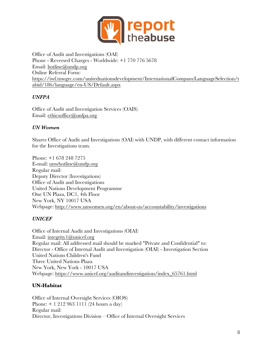

Office of Audit and Investigations (OAI) Phone - Reversed Charges - Worldwide: +1 770 776 5678 Email: hotline@undp.org Online Referral Form: https://iwf.tnwgrc.com/unitednationsdevelopment/InternationalCompanyLanguageSelection/t abid/186/language/en-US/Default.aspx

## *UNFPA*

Office of Audit and Investigation Services (OAIS) Email: ethicsoffice@unfpa.org

## *UN Women*

Shares Office of Audit and Investigations (OAI) with UNDP, with different contact information for the Investigations team.

Phone: +1 678 248 7275 E-mail: unwhotline@undp.org Regular mail: Deputy Director (Investigations) Office of Audit and Investigations United Nations Development Programme One UN Plaza, DC1, 4th Floor New York, NY 10017 USA Webpage: http://www.unwomen.org/en/about-us/accountability/investigations

## *UNICEF*

Office of Internal Audit and Investigations (OIAI) Email: integrity1@unicef.org Regular mail: All addressed mail should be marked "Private and Confidential" to: Director - Office of Internal Audit and Investigation (OIAI) - Investigation Section United Nations Children's Fund Three United Nations Plaza New York, New York - 10017 USA Webpage: https://www.unicef.org/auditandinvestigation/index\_65761.html

## **UN-Habitat**

Office of Internal Oversight Services (OIOS) Phone: + 1 212 963 1111 (24 hours a day) Regular mail: Director, Investigations Division – Office of Internal Oversight Services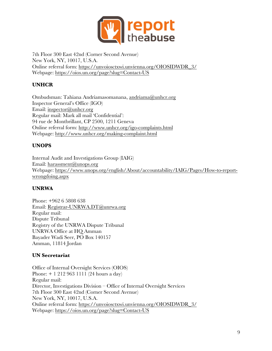

7th Floor 300 East 42nd (Corner Second Avenue) New York, NY, 10017, U.S.A. Online referral form: https://unvoiosctxwi.unvienna.org/OIOSIDWDR\_3/ Webpage: https://oios.un.org/page?slug=Contact-US

# **UNHCR**

Ombudsman: Tahiana Andriamasomanana, andriama@unhcr.org Inspector General's Office (IGO) Email: inspector@unhcr.org Regular mail: Mark all mail 'Confidential': 94 rue de Montbrillant, CP 2500, 1211 Geneva Online referral form: http://www.unhcr.org/igo-complaints.html Webpage: http://www.unhcr.org/making-complaint.html

# **UNOPS**

Internal Audit and Investigations Group (IAIG) Email: harassment@unops.org Webpage: https://www.unops.org/english/About/accountability/IAIG/Pages/How-to-reportwrongdoing.aspx

# **UNRWA**

Phone: +962 6 5808 638 Email: Registrar-UNRWA.DT@unrwa.org Regular mail: Dispute Tribunal Registry of the UNRWA Dispute Tribunal UNRWA Office at HQ Amman Bayader Wadi Seer, PO Box 140157 Amman, 11814 Jordan

# **UN Secretariat**

Office of Internal Oversight Services (OIOS) Phone: + 1 212 963 1111 (24 hours a day) Regular mail: Director, Investigations Division – Office of Internal Oversight Services 7th Floor 300 East 42nd (Corner Second Avenue) New York, NY, 10017, U.S.A. Online referral form: https://unvoiosctxwi.unvienna.org/OIOSIDWDR\_3/ Webpage: https://oios.un.org/page?slug=Contact-US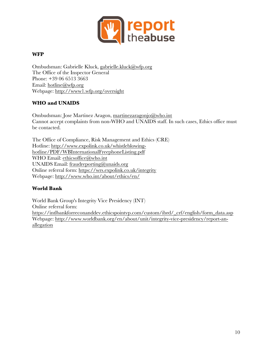

## **WFP**

Ombudsman: Gabrielle Kluck, gabrielle.kluck@wfp.org The Office of the Inspector General Phone: +39 06 6513 3663 Email: hotline@wfp.org Webpage: http://www1.wfp.org/oversight

## **WHO and UNAIDS**

Ombudsman: Jose Martinez Aragon, martinezaragonjo@who.int Cannot accept complaints from non-WHO and UNAIDS staff. In such cases, Ethics office must be contacted.

The Office of Compliance, Risk Management and Ethics (CRE) Hotline: http://www.expolink.co.uk/whistleblowinghotline/PDF/WBInternationalFreephoneListing.pdf WHO Email: ethicsoffice@who.int UNAIDS Email: fraudreporting@unaids.org Online referral form: https://wrs.expolink.co.uk/integrity Webpage: http://www.who.int/about/ethics/en/

## **World Bank**

World Bank Group's Integrity Vice Presidency (INT) Online referral form: https://intlbankforreconanddev.ethicspointvp.com/custom/ibrd/\_crf/english/form\_data.asp Webpage: http://www.worldbank.org/en/about/unit/integrity-vice-presidency/report-anallegation